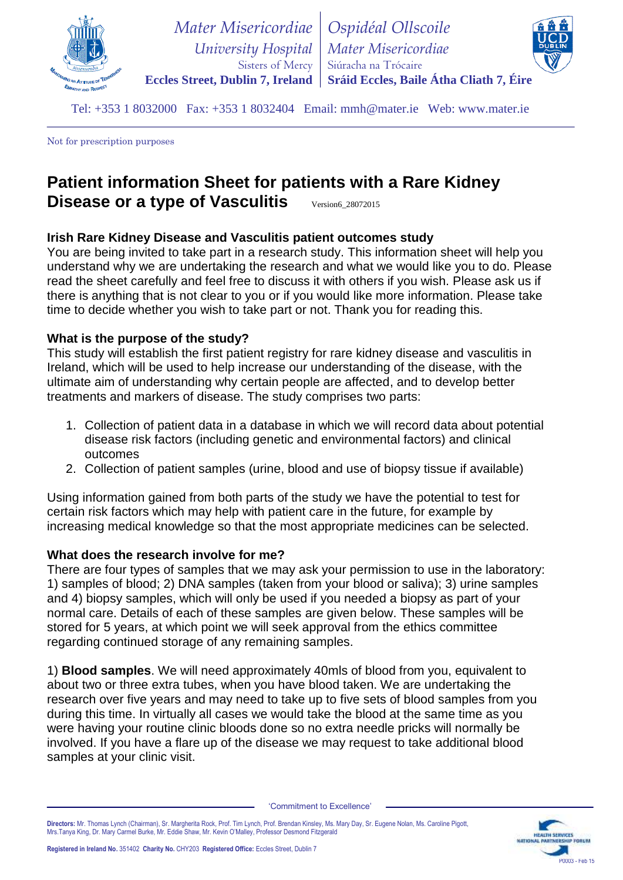

 *University Hospital* **Eccles Street, Dublin 7, Ireland** *Mater Misericordiae* Sisters of Mercy *Ospidéal Ollscoile Mater Misericordiae* Siúracha na Trócaire **Sráid Eccles, Baile Átha Cliath 7, Éire**

Tel: +353 1 8032000 Fax: +353 1 8032404 Email: mmh@mater.ie Web: www.mater.ie

Not for prescription purposes

# **Patient information Sheet for patients with a Rare Kidney Disease or a type of Vasculitis** Version6\_28072015

# **Irish Rare Kidney Disease and Vasculitis patient outcomes study**

You are being invited to take part in a research study. This information sheet will help you understand why we are undertaking the research and what we would like you to do. Please read the sheet carefully and feel free to discuss it with others if you wish. Please ask us if there is anything that is not clear to you or if you would like more information. Please take time to decide whether you wish to take part or not. Thank you for reading this.

# **What is the purpose of the study?**

This study will establish the first patient registry for rare kidney disease and vasculitis in Ireland, which will be used to help increase our understanding of the disease, with the ultimate aim of understanding why certain people are affected, and to develop better treatments and markers of disease. The study comprises two parts:

- 1. Collection of patient data in a database in which we will record data about potential disease risk factors (including genetic and environmental factors) and clinical outcomes
- 2. Collection of patient samples (urine, blood and use of biopsy tissue if available)

Using information gained from both parts of the study we have the potential to test for certain risk factors which may help with patient care in the future, for example by increasing medical knowledge so that the most appropriate medicines can be selected.

# **What does the research involve for me?**

There are four types of samples that we may ask your permission to use in the laboratory: 1) samples of blood; 2) DNA samples (taken from your blood or saliva); 3) urine samples and 4) biopsy samples, which will only be used if you needed a biopsy as part of your normal care. Details of each of these samples are given below. These samples will be stored for 5 years, at which point we will seek approval from the ethics committee regarding continued storage of any remaining samples.

1) **Blood samples**. We will need approximately 40mls of blood from you, equivalent to about two or three extra tubes, when you have blood taken. We are undertaking the research over five years and may need to take up to five sets of blood samples from you during this time. In virtually all cases we would take the blood at the same time as you were having your routine clinic bloods done so no extra needle pricks will normally be involved. If you have a flare up of the disease we may request to take additional blood samples at your clinic visit.

'Commitment to Excellence'

**Directors:** Mr. Thomas Lynch (Chairman), Sr. Margherita Rock, Prof. Tim Lynch, Prof. Brendan Kinsley, Ms. Mary Day, Sr. Eugene Nolan, Ms. Caroline Pigott, Mrs.Tanya King, Dr. Mary Carmel Burke, Mr. Eddie Shaw, Mr. Kevin O'Malley, Professor Desmond Fitzgerald

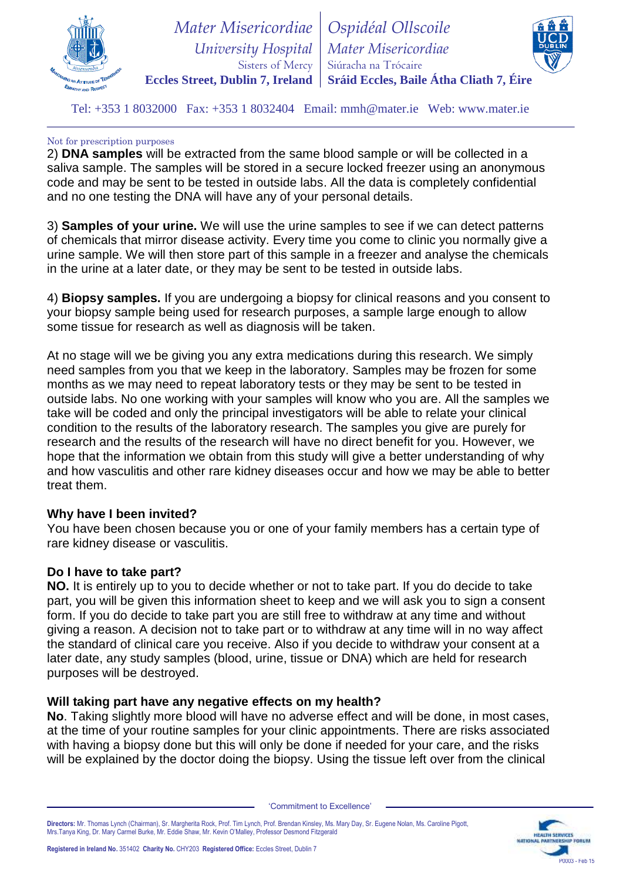

 *University Hospital* **Eccles Street, Dublin 7, Ireland** *Mater Misericordiae* Sisters of Mercy *Ospidéal Ollscoile Mater Misericordiae* Siúracha na Trócaire **Sráid Eccles, Baile Átha Cliath 7, Éire**



Tel: +353 1 8032000 Fax: +353 1 8032404 Email: mmh@mater.ie Web: www.mater.ie

#### Not for prescription purposes

2) **DNA samples** will be extracted from the same blood sample or will be collected in a saliva sample. The samples will be stored in a secure locked freezer using an anonymous code and may be sent to be tested in outside labs. All the data is completely confidential and no one testing the DNA will have any of your personal details.

3) **Samples of your urine.** We will use the urine samples to see if we can detect patterns of chemicals that mirror disease activity. Every time you come to clinic you normally give a urine sample. We will then store part of this sample in a freezer and analyse the chemicals in the urine at a later date, or they may be sent to be tested in outside labs.

4) **Biopsy samples.** If you are undergoing a biopsy for clinical reasons and you consent to your biopsy sample being used for research purposes, a sample large enough to allow some tissue for research as well as diagnosis will be taken.

At no stage will we be giving you any extra medications during this research. We simply need samples from you that we keep in the laboratory. Samples may be frozen for some months as we may need to repeat laboratory tests or they may be sent to be tested in outside labs. No one working with your samples will know who you are. All the samples we take will be coded and only the principal investigators will be able to relate your clinical condition to the results of the laboratory research. The samples you give are purely for research and the results of the research will have no direct benefit for you. However, we hope that the information we obtain from this study will give a better understanding of why and how vasculitis and other rare kidney diseases occur and how we may be able to better treat them.

# **Why have I been invited?**

You have been chosen because you or one of your family members has a certain type of rare kidney disease or vasculitis.

# **Do I have to take part?**

**NO.** It is entirely up to you to decide whether or not to take part. If you do decide to take part, you will be given this information sheet to keep and we will ask you to sign a consent form. If you do decide to take part you are still free to withdraw at any time and without giving a reason. A decision not to take part or to withdraw at any time will in no way affect the standard of clinical care you receive. Also if you decide to withdraw your consent at a later date, any study samples (blood, urine, tissue or DNA) which are held for research purposes will be destroyed.

# **Will taking part have any negative effects on my health?**

**No**. Taking slightly more blood will have no adverse effect and will be done, in most cases, at the time of your routine samples for your clinic appointments. There are risks associated with having a biopsy done but this will only be done if needed for your care, and the risks will be explained by the doctor doing the biopsy. Using the tissue left over from the clinical

**Directors:** Mr. Thomas Lynch (Chairman), Sr. Margherita Rock, Prof. Tim Lynch, Prof. Brendan Kinsley, Ms. Mary Day, Sr. Eugene Nolan, Ms. Caroline Pigott, Mrs.Tanya King, Dr. Mary Carmel Burke, Mr. Eddie Shaw, Mr. Kevin O'Malley, Professor Desmond Fitzgerald

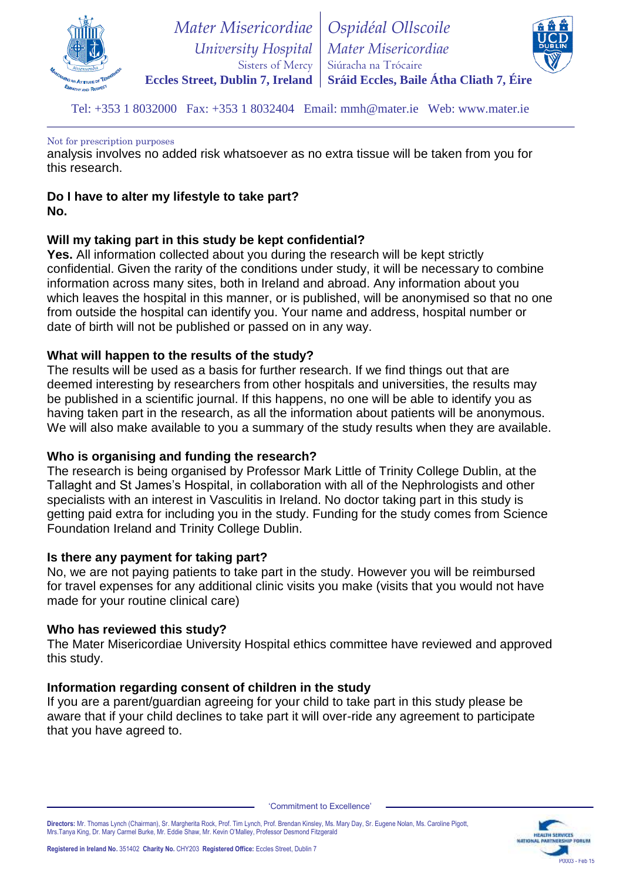

 *University Hospital* **Eccles Street, Dublin 7, Ireland** *Mater Misericordiae* Sisters of Mercy *Ospidéal Ollscoile Mater Misericordiae* Siúracha na Trócaire **Sráid Eccles, Baile Átha Cliath 7, Éire**



Tel: +353 1 8032000 Fax: +353 1 8032404 Email: mmh@mater.ie Web: www.mater.ie

#### Not for prescription purposes

analysis involves no added risk whatsoever as no extra tissue will be taken from you for this research.

#### **Do I have to alter my lifestyle to take part? No.**

# **Will my taking part in this study be kept confidential?**

**Yes.** All information collected about you during the research will be kept strictly confidential. Given the rarity of the conditions under study, it will be necessary to combine information across many sites, both in Ireland and abroad. Any information about you which leaves the hospital in this manner, or is published, will be anonymised so that no one from outside the hospital can identify you. Your name and address, hospital number or date of birth will not be published or passed on in any way.

# **What will happen to the results of the study?**

The results will be used as a basis for further research. If we find things out that are deemed interesting by researchers from other hospitals and universities, the results may be published in a scientific journal. If this happens, no one will be able to identify you as having taken part in the research, as all the information about patients will be anonymous. We will also make available to you a summary of the study results when they are available.

#### **Who is organising and funding the research?**

The research is being organised by Professor Mark Little of Trinity College Dublin, at the Tallaght and St James's Hospital, in collaboration with all of the Nephrologists and other specialists with an interest in Vasculitis in Ireland. No doctor taking part in this study is getting paid extra for including you in the study. Funding for the study comes from Science Foundation Ireland and Trinity College Dublin.

#### **Is there any payment for taking part?**

No, we are not paying patients to take part in the study. However you will be reimbursed for travel expenses for any additional clinic visits you make (visits that you would not have made for your routine clinical care)

#### **Who has reviewed this study?**

The Mater Misericordiae University Hospital ethics committee have reviewed and approved this study.

# **Information regarding consent of children in the study**

If you are a parent/guardian agreeing for your child to take part in this study please be aware that if your child declines to take part it will over-ride any agreement to participate that you have agreed to.

'Commitment to Excellence'

**Directors:** Mr. Thomas Lynch (Chairman), Sr. Margherita Rock, Prof. Tim Lynch, Prof. Brendan Kinsley, Ms. Mary Day, Sr. Eugene Nolan, Ms. Caroline Pigott, Mrs.Tanya King, Dr. Mary Carmel Burke, Mr. Eddie Shaw, Mr. Kevin O'Malley, Professor Desmond Fitzgerald